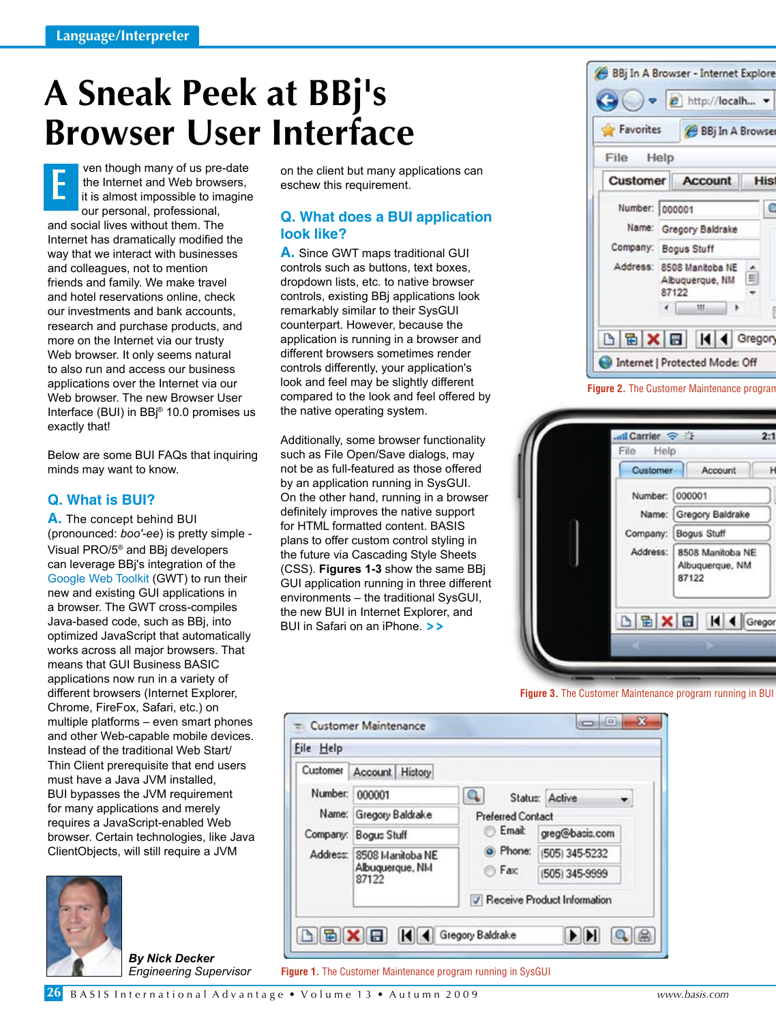# **A Sneak Peek at BBj's Browser User Interface**

ven though many of us pre-date the Internet and Web browsers, it is almost impossible to imagine our personal, professional, and social lives without them. The Internet has dramatically modified the way that we interact with businesses and colleagues, not to mention friends and family. We make travel and hotel reservations online, check our investments and bank accounts, research and purchase products, and more on the Internet via our trusty Web browser. It only seems natural to also run and access our business applications over the Internet via our Web browser. The new Browser User Interface (BUI) in BBj® 10.0 promises us exactly that! **E**

Below are some BUI FAQs that inquiring minds may want to know.

## **Q. What is BUI?**

**A.** The concept behind BUI (pronounced: *boo'-ee*) is pretty simple - Visual PRO/5® and BBj developers can leverage BBj's integration of the [Google Web Toolkit \(](http://code.google.com/webtoolkit/)GWT) to run their new and existing GUI applications in a browser. The GWT cross-compiles Java-based code, such as BBj, into optimized JavaScript that automatically works across all major browsers. That means that GUI Business BASIC applications now run in a variety of different browsers (Internet Explorer, Chrome, FireFox, Safari, etc.) on multiple platforms – even smart phones and other Web-capable mobile devices. Instead of the traditional Web Start/ Thin Client prerequisite that end users must have a Java JVM installed, BUI bypasses the JVM requirement for many applications and merely requires a JavaScript-enabled Web browser. Certain technologies, like Java ClientObjects, will still require a JVM



*By Nick Decker Engineering Supervisor* on the client but many applications can eschew this requirement.

## **Q. What does a BUI application look like?**

**A.** Since GWT maps traditional GUI controls such as buttons, text boxes, dropdown lists, etc. to native browser controls, existing BBj applications look remarkably similar to their SysGUI counterpart. However, because the application is running in a browser and different browsers sometimes render controls differently, your application's look and feel may be slightly different compared to the look and feel offered by the native operating system.

Additionally, some browser functionality such as File Open/Save dialogs, may not be as full-featured as those offered by an application running in SysGUI. On the other hand, running in a browser definitely improves the native support for HTML formatted content. BASIS plans to offer custom control styling in the future via Cascading Style Sheets (CSS). **Figures 1-3** show the same BBj GUI application running in three different environments – the traditional SysGUI, the new BUI in Internet Explorer, and BUI in Safari on an iPhone. **> >**

BBj In A Browser - Internet Explore e http://localh... **Favorites** BBj In A Browser File Help Customer **Account His** Number: 000001 C Name: Gregory Baldrake Company: Bogus Stuff Address: 8508 Manitoba NE E Albuquerque, NM 87122  $\leftarrow$ III. **BEXE** Gregon  $\vert \vert$ ◀ Internet | Protected Mode: Off

**Figure 2.** The Customer Maintenance program



**Figure 3.** The Customer Maintenance program running in BUI



**Figure 1.** The Customer Maintenance program running in SysGUI